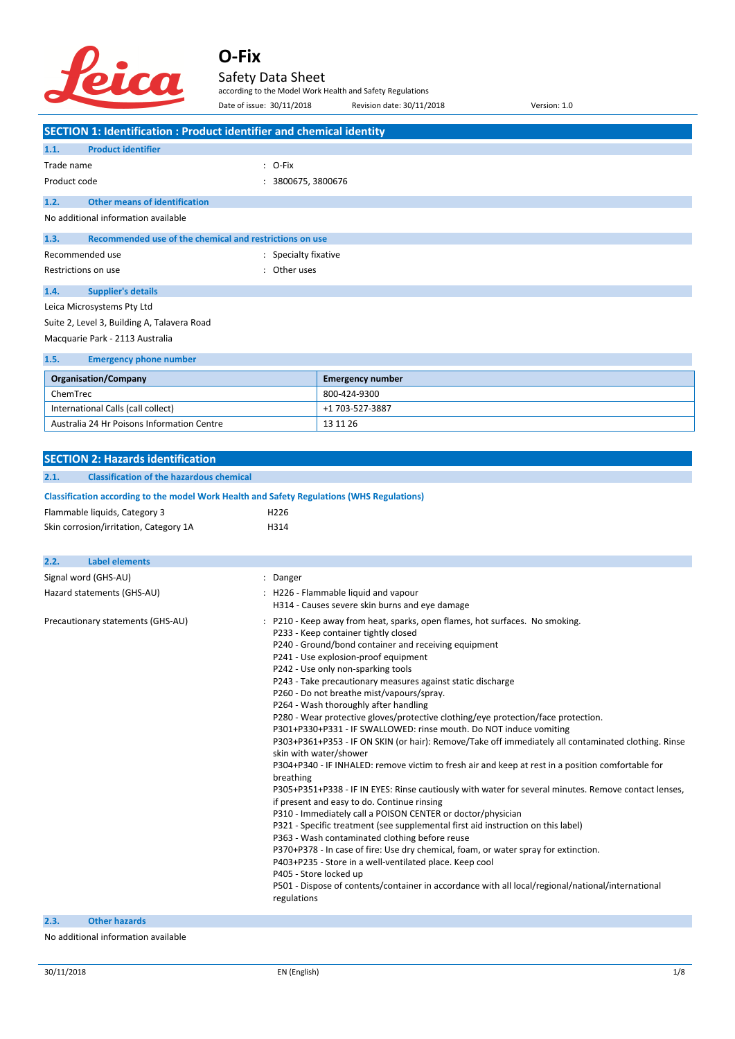

Safety Data Sheet

according to the Model Work Health and Safety Regulations

|                                                                                            | Date of issue: 30/11/2018 | Revision date: 30/11/2018                                                                                                                               | Version: 1.0                                                                                         |
|--------------------------------------------------------------------------------------------|---------------------------|---------------------------------------------------------------------------------------------------------------------------------------------------------|------------------------------------------------------------------------------------------------------|
| <b>SECTION 1: Identification : Product identifier and chemical identity</b>                |                           |                                                                                                                                                         |                                                                                                      |
| <b>Product identifier</b><br>1.1.                                                          |                           |                                                                                                                                                         |                                                                                                      |
| Trade name                                                                                 | $: O-Fix$                 |                                                                                                                                                         |                                                                                                      |
| Product code                                                                               | : 3800675, 3800676        |                                                                                                                                                         |                                                                                                      |
| 1.2.<br><b>Other means of identification</b>                                               |                           |                                                                                                                                                         |                                                                                                      |
| No additional information available                                                        |                           |                                                                                                                                                         |                                                                                                      |
| Recommended use of the chemical and restrictions on use<br>1.3.                            |                           |                                                                                                                                                         |                                                                                                      |
| Recommended use                                                                            | : Specialty fixative      |                                                                                                                                                         |                                                                                                      |
| Restrictions on use                                                                        | : Other uses              |                                                                                                                                                         |                                                                                                      |
| 1.4.<br><b>Supplier's details</b>                                                          |                           |                                                                                                                                                         |                                                                                                      |
| Leica Microsystems Pty Ltd                                                                 |                           |                                                                                                                                                         |                                                                                                      |
| Suite 2, Level 3, Building A, Talavera Road                                                |                           |                                                                                                                                                         |                                                                                                      |
| Macquarie Park - 2113 Australia                                                            |                           |                                                                                                                                                         |                                                                                                      |
| 1.5.<br><b>Emergency phone number</b>                                                      |                           |                                                                                                                                                         |                                                                                                      |
|                                                                                            |                           |                                                                                                                                                         |                                                                                                      |
| <b>Organisation/Company</b><br>ChemTrec                                                    |                           | <b>Emergency number</b><br>800-424-9300                                                                                                                 |                                                                                                      |
| International Calls (call collect)                                                         |                           | +1 703-527-3887                                                                                                                                         |                                                                                                      |
| Australia 24 Hr Poisons Information Centre                                                 |                           | 13 11 26                                                                                                                                                |                                                                                                      |
|                                                                                            |                           |                                                                                                                                                         |                                                                                                      |
| <b>SECTION 2: Hazards identification</b>                                                   |                           |                                                                                                                                                         |                                                                                                      |
| 2.1.<br><b>Classification of the hazardous chemical</b>                                    |                           |                                                                                                                                                         |                                                                                                      |
| Classification according to the model Work Health and Safety Regulations (WHS Regulations) |                           |                                                                                                                                                         |                                                                                                      |
| Flammable liquids, Category 3                                                              | H <sub>226</sub>          |                                                                                                                                                         |                                                                                                      |
| Skin corrosion/irritation, Category 1A                                                     | H314                      |                                                                                                                                                         |                                                                                                      |
|                                                                                            |                           |                                                                                                                                                         |                                                                                                      |
| <b>Label elements</b><br>2.2.                                                              |                           |                                                                                                                                                         |                                                                                                      |
| Signal word (GHS-AU)                                                                       | : Danger                  |                                                                                                                                                         |                                                                                                      |
| Hazard statements (GHS-AU)                                                                 |                           | : H226 - Flammable liquid and vapour                                                                                                                    |                                                                                                      |
|                                                                                            |                           | H314 - Causes severe skin burns and eye damage                                                                                                          |                                                                                                      |
| Precautionary statements (GHS-AU)                                                          |                           | : P210 - Keep away from heat, sparks, open flames, hot surfaces. No smoking.<br>P233 - Keep container tightly closed                                    |                                                                                                      |
|                                                                                            |                           | P240 - Ground/bond container and receiving equipment                                                                                                    |                                                                                                      |
|                                                                                            |                           | P241 - Use explosion-proof equipment                                                                                                                    |                                                                                                      |
|                                                                                            |                           | P242 - Use only non-sparking tools<br>P243 - Take precautionary measures against static discharge                                                       |                                                                                                      |
|                                                                                            |                           | P260 - Do not breathe mist/vapours/spray.                                                                                                               |                                                                                                      |
|                                                                                            |                           | P264 - Wash thoroughly after handling                                                                                                                   |                                                                                                      |
|                                                                                            |                           | P280 - Wear protective gloves/protective clothing/eye protection/face protection.<br>P301+P330+P331 - IF SWALLOWED: rinse mouth. Do NOT induce vomiting |                                                                                                      |
|                                                                                            |                           |                                                                                                                                                         | P303+P361+P353 - IF ON SKIN (or hair): Remove/Take off immediately all contaminated clothing. Rinse  |
|                                                                                            |                           | skin with water/shower                                                                                                                                  |                                                                                                      |
|                                                                                            | breathing                 |                                                                                                                                                         | P304+P340 - IF INHALED: remove victim to fresh air and keep at rest in a position comfortable for    |
|                                                                                            |                           |                                                                                                                                                         | P305+P351+P338 - IF IN EYES: Rinse cautiously with water for several minutes. Remove contact lenses, |
|                                                                                            |                           | if present and easy to do. Continue rinsing<br>P310 - Immediately call a POISON CENTER or doctor/physician                                              |                                                                                                      |
|                                                                                            |                           | P321 - Specific treatment (see supplemental first aid instruction on this label)                                                                        |                                                                                                      |
|                                                                                            |                           | P363 - Wash contaminated clothing before reuse                                                                                                          |                                                                                                      |
|                                                                                            |                           | P370+P378 - In case of fire: Use dry chemical, foam, or water spray for extinction.<br>P403+P235 - Store in a well-ventilated place. Keep cool          |                                                                                                      |
|                                                                                            |                           | P405 - Store locked up                                                                                                                                  |                                                                                                      |
|                                                                                            |                           |                                                                                                                                                         | P501 - Dispose of contents/container in accordance with all local/regional/national/international    |
|                                                                                            | regulations               |                                                                                                                                                         |                                                                                                      |

**2.3. Other hazards**

No additional information available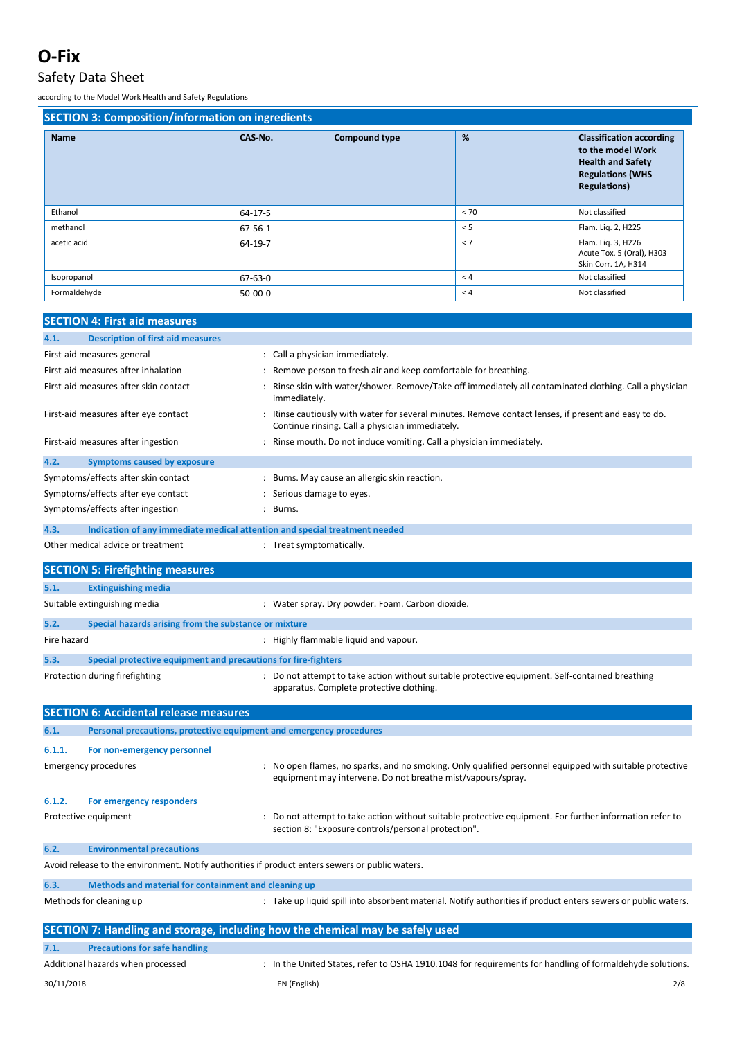### Safety Data Sheet

| <b>SECTION 3: Composition/information on ingredients</b> |               |                      |      |                                                                                                                                    |  |
|----------------------------------------------------------|---------------|----------------------|------|------------------------------------------------------------------------------------------------------------------------------------|--|
| <b>Name</b>                                              | CAS-No.       | <b>Compound type</b> | %    | <b>Classification according</b><br>to the model Work<br><b>Health and Safety</b><br><b>Regulations (WHS</b><br><b>Regulations)</b> |  |
| Ethanol                                                  | 64-17-5       |                      | < 70 | Not classified                                                                                                                     |  |
| methanol                                                 | 67-56-1       |                      | < 5  | Flam. Liq. 2, H225                                                                                                                 |  |
| acetic acid                                              | 64-19-7       |                      | < 7  | Flam. Liq. 3, H226<br>Acute Tox. 5 (Oral), H303<br>Skin Corr. 1A, H314                                                             |  |
| Isopropanol                                              | $67 - 63 - 0$ |                      | < 4  | Not classified                                                                                                                     |  |
| Formaldehyde                                             | $50-00-0$     |                      | < 4  | Not classified                                                                                                                     |  |

|        | <b>SECTION 4: First aid measures</b>                                                           |  |                                                                                                                                                                        |  |
|--------|------------------------------------------------------------------------------------------------|--|------------------------------------------------------------------------------------------------------------------------------------------------------------------------|--|
| 4.1.   | <b>Description of first aid measures</b>                                                       |  |                                                                                                                                                                        |  |
|        | First-aid measures general                                                                     |  | : Call a physician immediately.                                                                                                                                        |  |
|        | First-aid measures after inhalation                                                            |  | Remove person to fresh air and keep comfortable for breathing.                                                                                                         |  |
|        | First-aid measures after skin contact                                                          |  | Rinse skin with water/shower. Remove/Take off immediately all contaminated clothing. Call a physician<br>immediately.                                                  |  |
|        | First-aid measures after eye contact                                                           |  | Rinse cautiously with water for several minutes. Remove contact lenses, if present and easy to do.<br>Continue rinsing. Call a physician immediately.                  |  |
|        | First-aid measures after ingestion                                                             |  | : Rinse mouth. Do not induce vomiting. Call a physician immediately.                                                                                                   |  |
| 4.2.   | <b>Symptoms caused by exposure</b>                                                             |  |                                                                                                                                                                        |  |
|        | Symptoms/effects after skin contact                                                            |  | : Burns. May cause an allergic skin reaction.                                                                                                                          |  |
|        | Symptoms/effects after eye contact                                                             |  | : Serious damage to eyes.                                                                                                                                              |  |
|        | Symptoms/effects after ingestion                                                               |  | : Burns.                                                                                                                                                               |  |
| 4.3.   | Indication of any immediate medical attention and special treatment needed                     |  |                                                                                                                                                                        |  |
|        | Other medical advice or treatment                                                              |  | : Treat symptomatically.                                                                                                                                               |  |
|        | <b>SECTION 5: Firefighting measures</b>                                                        |  |                                                                                                                                                                        |  |
| 5.1.   | <b>Extinguishing media</b>                                                                     |  |                                                                                                                                                                        |  |
|        | Suitable extinguishing media                                                                   |  | : Water spray. Dry powder. Foam. Carbon dioxide.                                                                                                                       |  |
| 5.2.   | Special hazards arising from the substance or mixture                                          |  |                                                                                                                                                                        |  |
|        | Fire hazard<br>: Highly flammable liquid and vapour.                                           |  |                                                                                                                                                                        |  |
| 5.3.   | Special protective equipment and precautions for fire-fighters                                 |  |                                                                                                                                                                        |  |
|        | Protection during firefighting                                                                 |  | : Do not attempt to take action without suitable protective equipment. Self-contained breathing<br>apparatus. Complete protective clothing.                            |  |
|        | <b>SECTION 6: Accidental release measures</b>                                                  |  |                                                                                                                                                                        |  |
| 6.1.   | Personal precautions, protective equipment and emergency procedures                            |  |                                                                                                                                                                        |  |
| 6.1.1. | For non-emergency personnel                                                                    |  |                                                                                                                                                                        |  |
|        | Emergency procedures                                                                           |  | No open flames, no sparks, and no smoking. Only qualified personnel equipped with suitable protective :<br>equipment may intervene. Do not breathe mist/vapours/spray. |  |
| 6.1.2. | For emergency responders                                                                       |  |                                                                                                                                                                        |  |
|        | Protective equipment                                                                           |  | : Do not attempt to take action without suitable protective equipment. For further information refer to<br>section 8: "Exposure controls/personal protection".         |  |
| 6.2.   | <b>Environmental precautions</b>                                                               |  |                                                                                                                                                                        |  |
|        | Avoid release to the environment. Notify authorities if product enters sewers or public waters |  |                                                                                                                                                                        |  |
| 6.3.   | Methods and material for containment and cleaning up                                           |  |                                                                                                                                                                        |  |
|        | Methods for cleaning up                                                                        |  | : Take up liquid spill into absorbent material. Notify authorities if product enters sewers or public waters.                                                          |  |
|        |                                                                                                |  | SECTION 7: Handling and storage, including how the chemical may be safely used                                                                                         |  |
| 7.1.   | <b>Precautions for safe handling</b>                                                           |  |                                                                                                                                                                        |  |
|        | Additional hazards when processed                                                              |  | : In the United States, refer to OSHA 1910.1048 for requirements for handling of formaldehyde solutions.                                                               |  |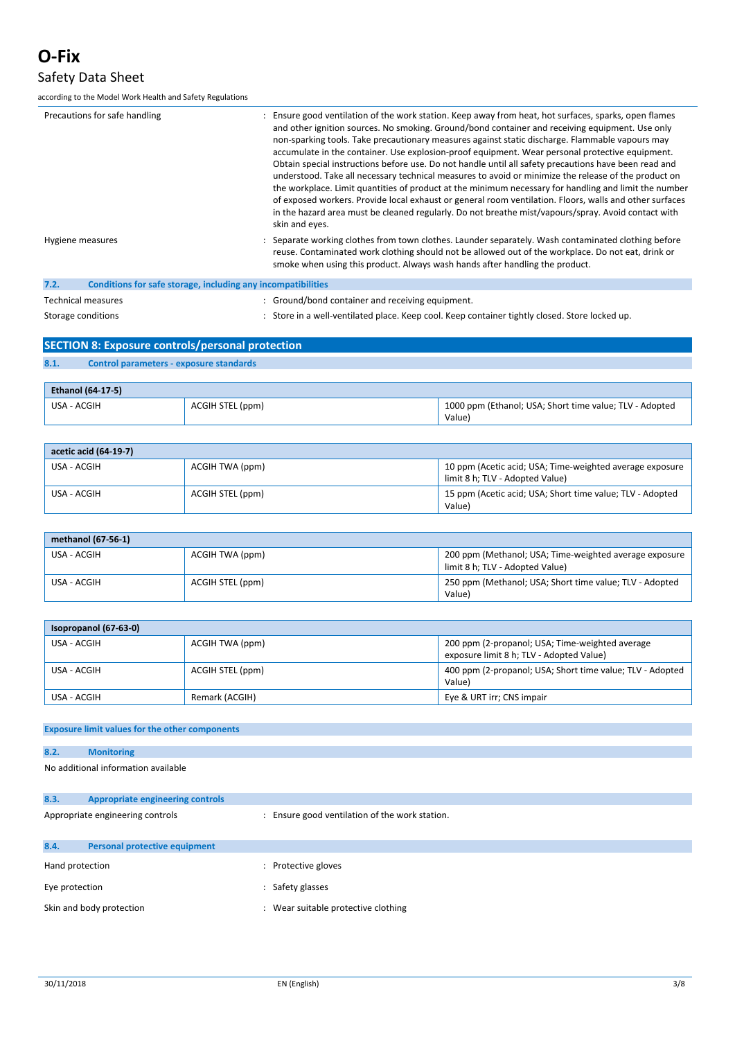### Safety Data Sheet

according to the Model Work Health and Safety Regulations

| Precautions for safe handling                                        | : Ensure good ventilation of the work station. Keep away from heat, hot surfaces, sparks, open flames<br>and other ignition sources. No smoking. Ground/bond container and receiving equipment. Use only<br>non-sparking tools. Take precautionary measures against static discharge. Flammable vapours may<br>accumulate in the container. Use explosion-proof equipment. Wear personal protective equipment.<br>Obtain special instructions before use. Do not handle until all safety precautions have been read and<br>understood. Take all necessary technical measures to avoid or minimize the release of the product on<br>the workplace. Limit quantities of product at the minimum necessary for handling and limit the number<br>of exposed workers. Provide local exhaust or general room ventilation. Floors, walls and other surfaces<br>in the hazard area must be cleaned regularly. Do not breathe mist/vapours/spray. Avoid contact with<br>skin and eyes. |
|----------------------------------------------------------------------|------------------------------------------------------------------------------------------------------------------------------------------------------------------------------------------------------------------------------------------------------------------------------------------------------------------------------------------------------------------------------------------------------------------------------------------------------------------------------------------------------------------------------------------------------------------------------------------------------------------------------------------------------------------------------------------------------------------------------------------------------------------------------------------------------------------------------------------------------------------------------------------------------------------------------------------------------------------------------|
| Hygiene measures                                                     | : Separate working clothes from town clothes. Launder separately. Wash contaminated clothing before<br>reuse. Contaminated work clothing should not be allowed out of the workplace. Do not eat, drink or<br>smoke when using this product. Always wash hands after handling the product.                                                                                                                                                                                                                                                                                                                                                                                                                                                                                                                                                                                                                                                                                    |
| 7.2.<br>Conditions for safe storage, including any incompatibilities |                                                                                                                                                                                                                                                                                                                                                                                                                                                                                                                                                                                                                                                                                                                                                                                                                                                                                                                                                                              |
| Technical measures                                                   | : Ground/bond container and receiving equipment.                                                                                                                                                                                                                                                                                                                                                                                                                                                                                                                                                                                                                                                                                                                                                                                                                                                                                                                             |

Storage conditions **Store in a well-ventilated place.** Keep cool. Keep container tightly closed. Store locked up.

| SECTION 8: Exposure controls/personal protection |                                         |  |  |  |
|--------------------------------------------------|-----------------------------------------|--|--|--|
|                                                  |                                         |  |  |  |
| 8.1.                                             | Control parameters - exposure standards |  |  |  |
|                                                  |                                         |  |  |  |

| <b>Ethanol (64-17-5)</b> |                  |                                                                   |  |  |
|--------------------------|------------------|-------------------------------------------------------------------|--|--|
| USA - ACGIH              | ACGIH STEL (ppm) | 1000 ppm (Ethanol; USA; Short time value; TLV - Adopted<br>Value) |  |  |

| acetic acid (64-19-7) |                  |                                                                                             |  |
|-----------------------|------------------|---------------------------------------------------------------------------------------------|--|
| USA - ACGIH           | ACGIH TWA (ppm)  | 10 ppm (Acetic acid; USA; Time-weighted average exposure<br>limit 8 h: TLV - Adopted Value) |  |
| USA - ACGIH           | ACGIH STEL (ppm) | 15 ppm (Acetic acid; USA; Short time value; TLV - Adopted<br>Value)                         |  |

| methanol (67-56-1) |                  |                                                                                           |  |  |
|--------------------|------------------|-------------------------------------------------------------------------------------------|--|--|
| USA - ACGIH        | ACGIH TWA (ppm)  | 200 ppm (Methanol; USA; Time-weighted average exposure<br>limit 8 h; TLV - Adopted Value) |  |  |
| USA - ACGIH        | ACGIH STEL (ppm) | 250 ppm (Methanol; USA; Short time value; TLV - Adopted<br>Value)                         |  |  |

| Isopropanol (67-63-0) |                  |                                                                                             |  |  |
|-----------------------|------------------|---------------------------------------------------------------------------------------------|--|--|
| USA - ACGIH           | ACGIH TWA (ppm)  | 200 ppm (2-propanol; USA; Time-weighted average<br>exposure limit 8 h; TLV - Adopted Value) |  |  |
| USA - ACGIH           | ACGIH STEL (ppm) | 400 ppm (2-propanol; USA; Short time value; TLV - Adopted<br>Value)                         |  |  |
| USA - ACGIH           | Remark (ACGIH)   | Eye & URT irr; CNS impair                                                                   |  |  |

### **Exposure limit values for the other components**

| 8.2. |                                     |  |
|------|-------------------------------------|--|
|      | No additional information available |  |

| 8.3.                             | <b>Appropriate engineering controls</b> |                                              |  |
|----------------------------------|-----------------------------------------|----------------------------------------------|--|
| Appropriate engineering controls |                                         | Ensure good ventilation of the work station. |  |
| 8.4.                             | <b>Personal protective equipment</b>    |                                              |  |
| Hand protection                  |                                         | Protective gloves                            |  |
| Eye protection                   |                                         | Safety glasses                               |  |
| Skin and body protection         |                                         | Wear suitable protective clothing            |  |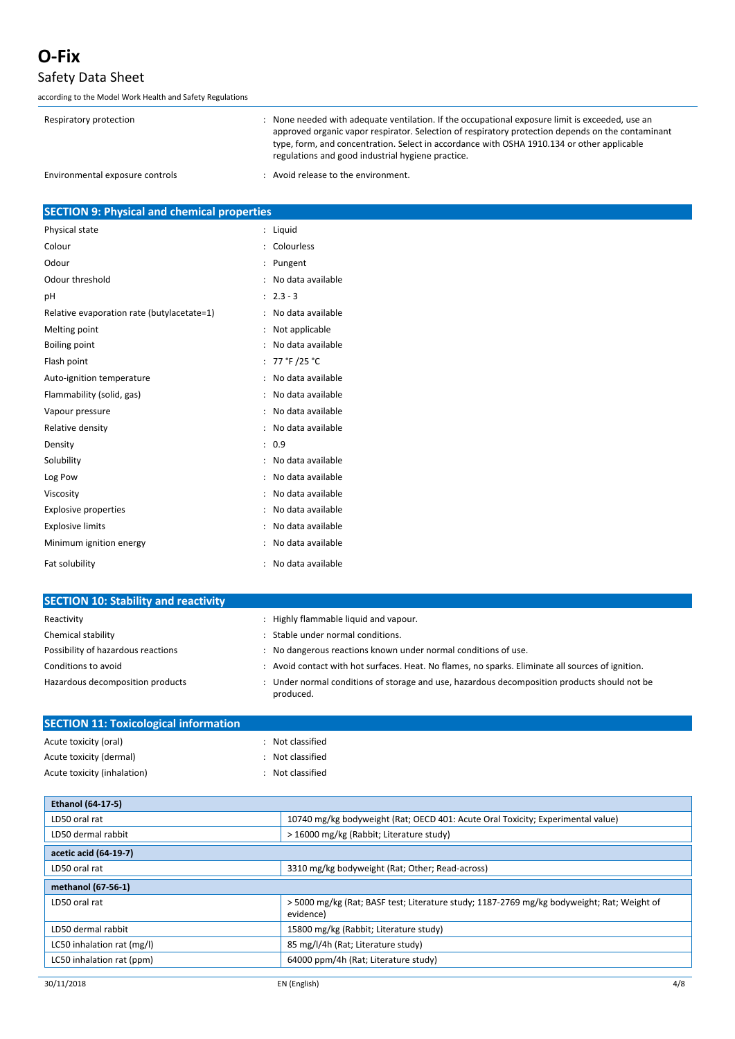### Safety Data Sheet

**SECTION 10: Stability and reactivity**

| Respiratory protection          | : None needed with adequate ventilation. If the occupational exposure limit is exceeded, use an<br>approved organic vapor respirator. Selection of respiratory protection depends on the contaminant<br>type, form, and concentration. Select in accordance with OSHA 1910.134 or other applicable<br>regulations and good industrial hygiene practice. |
|---------------------------------|---------------------------------------------------------------------------------------------------------------------------------------------------------------------------------------------------------------------------------------------------------------------------------------------------------------------------------------------------------|
| Environmental exposure controls | : Avoid release to the environment.                                                                                                                                                                                                                                                                                                                     |

| <b>SECTION 9: Physical and chemical properties</b> |          |
|----------------------------------------------------|----------|
| Physical state                                     | : Liguid |

| Colour                                     | Colourless        |
|--------------------------------------------|-------------------|
| Odour                                      | Pungent           |
| Odour threshold                            | No data available |
| рH                                         | $2.3 - 3$         |
| Relative evaporation rate (butylacetate=1) | No data available |
| Melting point                              | Not applicable    |
| <b>Boiling point</b>                       | No data available |
| Flash point                                | 77 °F /25 °C      |
| Auto-ignition temperature                  | No data available |
| Flammability (solid, gas)                  | No data available |
| Vapour pressure                            | No data available |
| Relative density                           | No data available |
| Density                                    | 0.9               |
| Solubility                                 | No data available |
| Log Pow                                    | No data available |
| Viscosity                                  | No data available |
| <b>Explosive properties</b>                | No data available |
| <b>Explosive limits</b>                    | No data available |
| Minimum ignition energy                    | No data available |
| Fat solubility                             | No data available |

| <b>SECTION 10: Stability and reactivity</b> |                                                                                                           |
|---------------------------------------------|-----------------------------------------------------------------------------------------------------------|
| Reactivity                                  | Highly flammable liquid and vapour.                                                                       |
| Chemical stability                          | Stable under normal conditions.                                                                           |
| Possibility of hazardous reactions          | No dangerous reactions known under normal conditions of use.                                              |
| Conditions to avoid                         | : Avoid contact with hot surfaces. Heat. No flames, no sparks. Eliminate all sources of ignition.         |
| Hazardous decomposition products            | : Under normal conditions of storage and use, hazardous decomposition products should not be<br>produced. |

| <b>SECTION 11: Toxicological information</b> |                  |
|----------------------------------------------|------------------|
| Acute toxicity (oral)                        | Not classified   |
| Acute toxicity (dermal)                      | Not classified   |
| Acute toxicity (inhalation)                  | : Not classified |

| <b>Ethanol (64-17-5)</b>   |                                                                                                        |
|----------------------------|--------------------------------------------------------------------------------------------------------|
| LD50 oral rat              | 10740 mg/kg bodyweight (Rat; OECD 401: Acute Oral Toxicity; Experimental value)                        |
| LD50 dermal rabbit         | > 16000 mg/kg (Rabbit; Literature study)                                                               |
| acetic acid (64-19-7)      |                                                                                                        |
| LD50 oral rat              | 3310 mg/kg bodyweight (Rat; Other; Read-across)                                                        |
| methanol (67-56-1)         |                                                                                                        |
| LD50 oral rat              | >5000 mg/kg (Rat; BASF test; Literature study; 1187-2769 mg/kg bodyweight; Rat; Weight of<br>evidence) |
| LD50 dermal rabbit         | 15800 mg/kg (Rabbit; Literature study)                                                                 |
| LC50 inhalation rat (mg/l) | 85 mg/l/4h (Rat; Literature study)                                                                     |
| LC50 inhalation rat (ppm)  | 64000 ppm/4h (Rat; Literature study)                                                                   |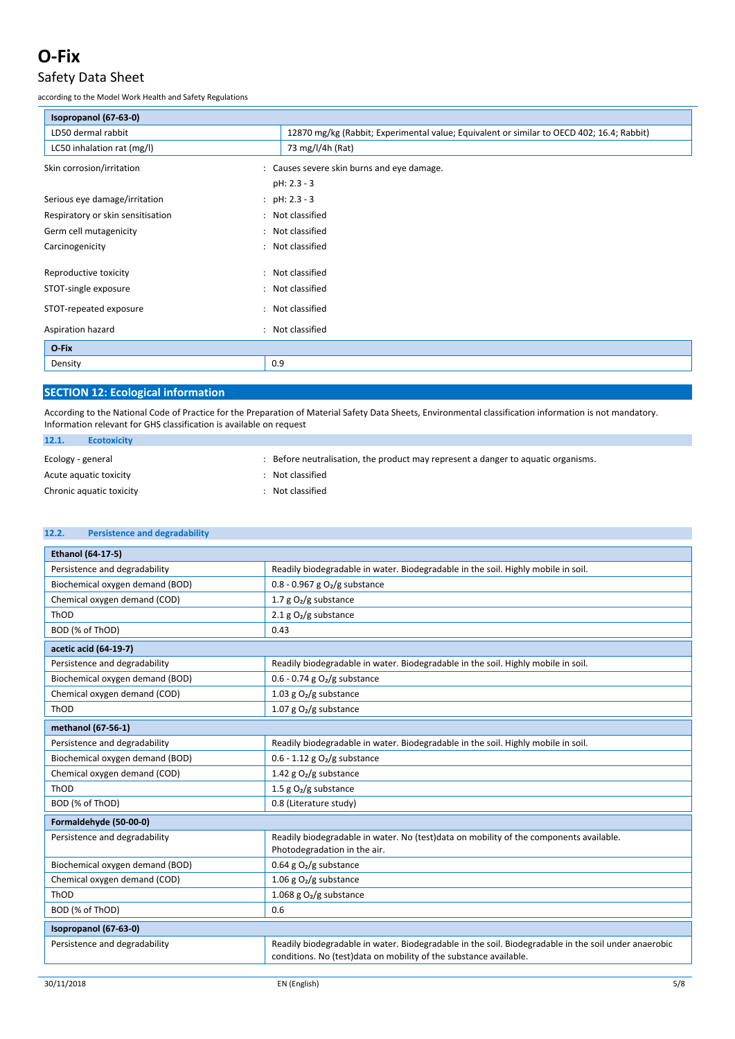### Safety Data Sheet

according to the Model Work Health and Safety Regulations

| Isopropanol (67-63-0)             |                                                                                           |
|-----------------------------------|-------------------------------------------------------------------------------------------|
| LD50 dermal rabbit                | 12870 mg/kg (Rabbit; Experimental value; Equivalent or similar to OECD 402; 16.4; Rabbit) |
| LC50 inhalation rat (mg/l)        | 73 mg/l/4h (Rat)                                                                          |
| Skin corrosion/irritation         | : Causes severe skin burns and eye damage.                                                |
|                                   | pH: 2.3 - 3                                                                               |
| Serious eye damage/irritation     | : $pH: 2.3 - 3$                                                                           |
| Respiratory or skin sensitisation | : Not classified                                                                          |
| Germ cell mutagenicity            | : Not classified                                                                          |
| Carcinogenicity                   | Not classified<br>$\ddot{\phantom{a}}$                                                    |
| Reproductive toxicity             | : Not classified                                                                          |
| STOT-single exposure              | : Not classified                                                                          |
| STOT-repeated exposure            | Not classified<br>$\ddot{\phantom{a}}$                                                    |
| Aspiration hazard                 | Not classified<br>$\cdot$                                                                 |
| O-Fix                             |                                                                                           |
| Density                           | 0.9                                                                                       |

### **SECTION 12: Ecological information**

According to the National Code of Practice for the Preparation of Material Safety Data Sheets, Environmental classification information is not mandatory. Information relevant for GHS classification is available on request

| 12.1.<br><b>Ecotoxicity</b> |                                                                                 |
|-----------------------------|---------------------------------------------------------------------------------|
| Ecology - general           | Before neutralisation, the product may represent a danger to aquatic organisms. |
| Acute aguatic toxicity      | : Not classified                                                                |
| Chronic aquatic toxicity    | Not classified                                                                  |

| 12.2.<br><b>Persistence and degradability</b> |                                                                                                                                                                            |
|-----------------------------------------------|----------------------------------------------------------------------------------------------------------------------------------------------------------------------------|
| Ethanol (64-17-5)                             |                                                                                                                                                                            |
| Persistence and degradability                 | Readily biodegradable in water. Biodegradable in the soil. Highly mobile in soil.                                                                                          |
| Biochemical oxygen demand (BOD)               | $0.8 - 0.967$ g O <sub>2</sub> /g substance                                                                                                                                |
| Chemical oxygen demand (COD)                  | 1.7 $g O2/g$ substance                                                                                                                                                     |
| ThOD                                          | 2.1 g $O_2/g$ substance                                                                                                                                                    |
| BOD (% of ThOD)                               | 0.43                                                                                                                                                                       |
| acetic acid (64-19-7)                         |                                                                                                                                                                            |
| Persistence and degradability                 | Readily biodegradable in water. Biodegradable in the soil. Highly mobile in soil.                                                                                          |
| Biochemical oxygen demand (BOD)               | 0.6 - 0.74 g $O2/g$ substance                                                                                                                                              |
| Chemical oxygen demand (COD)                  | 1.03 g $O_2/g$ substance                                                                                                                                                   |
| ThOD                                          | 1.07 g $O_2/g$ substance                                                                                                                                                   |
| methanol (67-56-1)                            |                                                                                                                                                                            |
| Persistence and degradability                 | Readily biodegradable in water. Biodegradable in the soil. Highly mobile in soil.                                                                                          |
| Biochemical oxygen demand (BOD)               | $0.6 - 1.12$ g O <sub>2</sub> /g substance                                                                                                                                 |
| Chemical oxygen demand (COD)                  | 1.42 g $O_2/g$ substance                                                                                                                                                   |
| ThOD                                          | 1.5 g $O2/g$ substance                                                                                                                                                     |
| BOD (% of ThOD)                               | 0.8 (Literature study)                                                                                                                                                     |
| Formaldehyde (50-00-0)                        |                                                                                                                                                                            |
| Persistence and degradability                 | Readily biodegradable in water. No (test)data on mobility of the components available.<br>Photodegradation in the air.                                                     |
| Biochemical oxygen demand (BOD)               | 0.64 g $O2/g$ substance                                                                                                                                                    |
| Chemical oxygen demand (COD)                  | 1.06 g $O_2/g$ substance                                                                                                                                                   |
| ThOD                                          | 1.068 g $O2/g$ substance                                                                                                                                                   |
| BOD (% of ThOD)                               | 0.6                                                                                                                                                                        |
| Isopropanol (67-63-0)                         |                                                                                                                                                                            |
| Persistence and degradability                 | Readily biodegradable in water. Biodegradable in the soil. Biodegradable in the soil under anaerobic<br>conditions. No (test) data on mobility of the substance available. |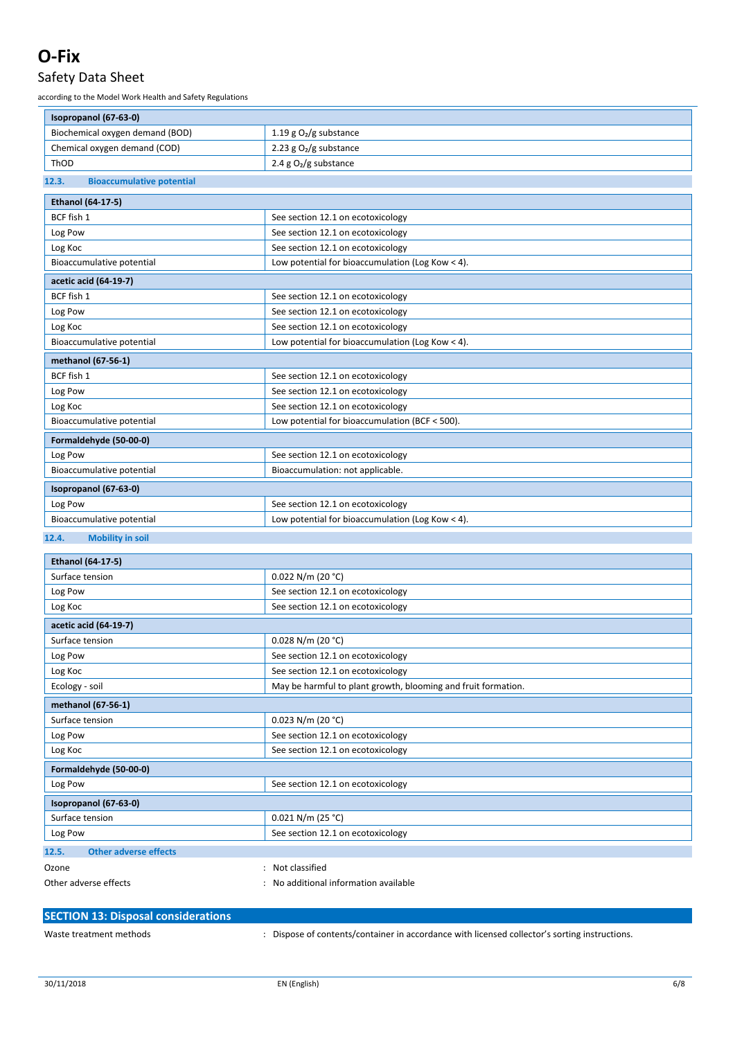### Safety Data Sheet

| Isopropanol (67-63-0)                     |                                                               |
|-------------------------------------------|---------------------------------------------------------------|
| Biochemical oxygen demand (BOD)           | 1.19 g $O_2/g$ substance                                      |
| Chemical oxygen demand (COD)              | 2.23 g $O2/g$ substance                                       |
| ThOD                                      | 2.4 g $O2/g$ substance                                        |
| 12.3.<br><b>Bioaccumulative potential</b> |                                                               |
| <b>Ethanol (64-17-5)</b>                  |                                                               |
| BCF fish 1                                | See section 12.1 on ecotoxicology                             |
| Log Pow                                   | See section 12.1 on ecotoxicology                             |
| Log Koc                                   | See section 12.1 on ecotoxicology                             |
| Bioaccumulative potential                 | Low potential for bioaccumulation (Log Kow < 4).              |
| acetic acid (64-19-7)                     |                                                               |
| BCF fish 1                                | See section 12.1 on ecotoxicology                             |
| Log Pow                                   | See section 12.1 on ecotoxicology                             |
| Log Koc                                   | See section 12.1 on ecotoxicology                             |
| Bioaccumulative potential                 | Low potential for bioaccumulation (Log Kow < 4).              |
| methanol (67-56-1)                        |                                                               |
| BCF fish 1                                | See section 12.1 on ecotoxicology                             |
| Log Pow                                   | See section 12.1 on ecotoxicology                             |
| Log Koc                                   | See section 12.1 on ecotoxicology                             |
| Bioaccumulative potential                 | Low potential for bioaccumulation (BCF < 500).                |
| Formaldehyde (50-00-0)                    |                                                               |
| Log Pow                                   | See section 12.1 on ecotoxicology                             |
| Bioaccumulative potential                 | Bioaccumulation: not applicable.                              |
| Isopropanol (67-63-0)                     |                                                               |
| Log Pow                                   | See section 12.1 on ecotoxicology                             |
| Bioaccumulative potential                 | Low potential for bioaccumulation (Log Kow < 4).              |
|                                           |                                                               |
| 12.4.<br><b>Mobility in soil</b>          |                                                               |
| <b>Ethanol (64-17-5)</b>                  |                                                               |
| Surface tension                           | $0.022$ N/m (20 °C)                                           |
| Log Pow                                   | See section 12.1 on ecotoxicology                             |
| Log Koc                                   | See section 12.1 on ecotoxicology                             |
| acetic acid (64-19-7)                     |                                                               |
| Surface tension                           | 0.028 N/m (20 °C)                                             |
| Log Pow                                   | See section 12.1 on ecotoxicology                             |
| Log Koc                                   | See section 12.1 on ecotoxicology                             |
| Ecology - soil                            | May be harmful to plant growth, blooming and fruit formation. |
| methanol (67-56-1)                        |                                                               |
| Surface tension                           | $0.023$ N/m (20 °C)                                           |
| Log Pow                                   | See section 12.1 on ecotoxicology                             |
| Log Koc                                   | See section 12.1 on ecotoxicology                             |
| Formaldehyde (50-00-0)                    |                                                               |
| Log Pow                                   | See section 12.1 on ecotoxicology                             |
| Isopropanol (67-63-0)                     |                                                               |
| Surface tension                           | $0.021$ N/m (25 °C)                                           |
| Log Pow                                   | See section 12.1 on ecotoxicology                             |
| <b>Other adverse effects</b><br>12.5.     |                                                               |
|                                           |                                                               |
|                                           | : Not classified                                              |
| Ozone<br>Other adverse effects            | : No additional information available                         |

| <b>SECTION 13: Disposal considerations</b> |                                                                                               |
|--------------------------------------------|-----------------------------------------------------------------------------------------------|
| Waste treatment methods                    | . Dispose of contents/container in accordance with licensed collector's sorting instructions. |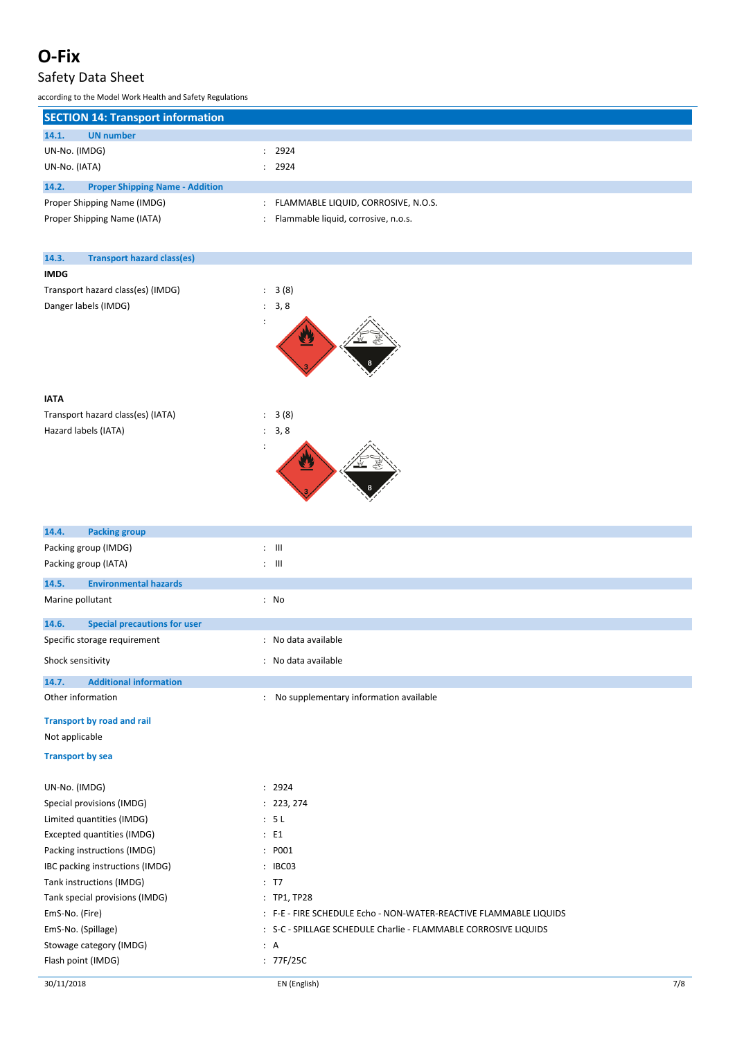## Safety Data Sheet

| <b>SECTION 14: Transport information</b>        |                                     |  |  |  |  |
|-------------------------------------------------|-------------------------------------|--|--|--|--|
| 14.1.<br><b>UN</b> number                       |                                     |  |  |  |  |
| UN-No. (IMDG)                                   | 2924                                |  |  |  |  |
| UN-No. (IATA)                                   | 2924                                |  |  |  |  |
| 14.2.<br><b>Proper Shipping Name - Addition</b> |                                     |  |  |  |  |
| Proper Shipping Name (IMDG)                     | FLAMMABLE LIQUID, CORROSIVE, N.O.S. |  |  |  |  |
| Proper Shipping Name (IATA)                     | Flammable liquid, corrosive, n.o.s. |  |  |  |  |

| 14.3.       | <b>Transport hazard class(es)</b> |                           |  |
|-------------|-----------------------------------|---------------------------|--|
| <b>IMDG</b> |                                   |                           |  |
|             | Transport hazard class(es) (IMDG) | : 3(8)                    |  |
|             | Danger labels (IMDG)              | : 3, 8                    |  |
|             |                                   | $\ddot{\phantom{a}}$<br>巠 |  |
| <b>IATA</b> |                                   |                           |  |
|             | Transport hazard class(es) (IATA) | : 3(8)                    |  |
|             | Hazard labels (IATA)              | : 3, 8                    |  |
|             |                                   | ÷                         |  |

| 3 (8) |  |
|-------|--|
| 3, 8  |  |
|       |  |

| 14.4.<br><b>Packing group</b>                |                                                                   |
|----------------------------------------------|-------------------------------------------------------------------|
| Packing group (IMDG)                         | $: \mathbb{H}$                                                    |
| Packing group (IATA)                         | $: \mathbb{H}$                                                    |
| 14.5.<br><b>Environmental hazards</b>        |                                                                   |
| Marine pollutant                             | : No                                                              |
| <b>Special precautions for user</b><br>14.6. |                                                                   |
| Specific storage requirement                 | : No data available                                               |
| Shock sensitivity                            | : No data available                                               |
| <b>Additional information</b><br>14.7.       |                                                                   |
| Other information                            | : No supplementary information available                          |
| <b>Transport by road and rail</b>            |                                                                   |
| Not applicable                               |                                                                   |
| <b>Transport by sea</b>                      |                                                                   |
| UN-No. (IMDG)                                | : 2924                                                            |
| Special provisions (IMDG)                    | : 223, 274                                                        |
| Limited quantities (IMDG)                    | : 5L                                                              |
| Excepted quantities (IMDG)                   | E1                                                                |
| Packing instructions (IMDG)                  | : P001                                                            |
| IBC packing instructions (IMDG)              | : IBC03                                                           |
| Tank instructions (IMDG)                     | : T7                                                              |
| Tank special provisions (IMDG)               | : TP1, TP28                                                       |
| EmS-No. (Fire)                               | : F-E - FIRE SCHEDULE Echo - NON-WATER-REACTIVE FLAMMABLE LIQUIDS |
| EmS-No. (Spillage)                           | : S-C - SPILLAGE SCHEDULE Charlie - FLAMMABLE CORROSIVE LIQUIDS   |
| Stowage category (IMDG)                      | : A                                                               |
| Flash point (IMDG)                           | : $77F/25C$                                                       |
|                                              |                                                                   |